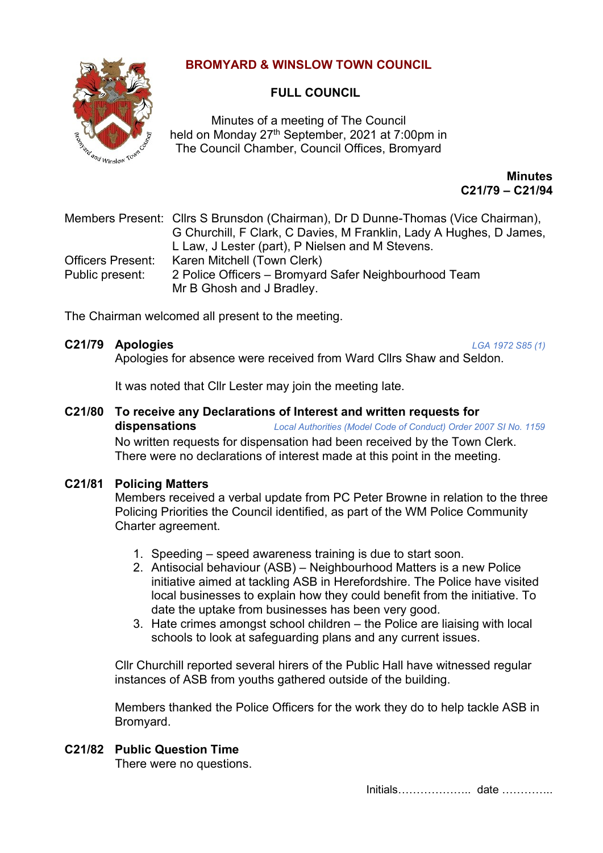# **BROMYARD & WINSLOW TOWN COUNCIL**



# **FULL COUNCIL**

Minutes of a meeting of The Council held on Monday 27<sup>th</sup> September, 2021 at 7:00pm in The Council Chamber, Council Offices, Bromyard

> **Minutes C21/79 – C21/94**

Members Present: Cllrs S Brunsdon (Chairman), Dr D Dunne-Thomas (Vice Chairman), G Churchill, F Clark, C Davies, M Franklin, Lady A Hughes, D James, L Law, J Lester (part), P Nielsen and M Stevens. Officers Present: Karen Mitchell (Town Clerk) Public present: 2 Police Officers – Bromyard Safer Neighbourhood Team Mr B Ghosh and J Bradley.

The Chairman welcomed all present to the meeting.

#### **C21/79 Apologies** *LGA 1972 S85 (1)*

Apologies for absence were received from Ward Cllrs Shaw and Seldon.

It was noted that Cllr Lester may join the meeting late.

# **C21/80 To receive any Declarations of Interest and written requests for dispensations** *Local Authorities (Model Code of Conduct) Order 2007 SI No. 1159* No written requests for dispensation had been received by the Town Clerk. There were no declarations of interest made at this point in the meeting.

# **C21/81 Policing Matters**

Members received a verbal update from PC Peter Browne in relation to the three Policing Priorities the Council identified, as part of the WM Police Community Charter agreement.

- 1. Speeding speed awareness training is due to start soon.
- 2. Antisocial behaviour (ASB) Neighbourhood Matters is a new Police initiative aimed at tackling ASB in Herefordshire. The Police have visited local businesses to explain how they could benefit from the initiative. To date the uptake from businesses has been very good.
- 3. Hate crimes amongst school children the Police are liaising with local schools to look at safeguarding plans and any current issues.

Cllr Churchill reported several hirers of the Public Hall have witnessed regular instances of ASB from youths gathered outside of the building.

Members thanked the Police Officers for the work they do to help tackle ASB in Bromyard.

# **C21/82 Public Question Time**

There were no questions.

Initials……………….. date …………..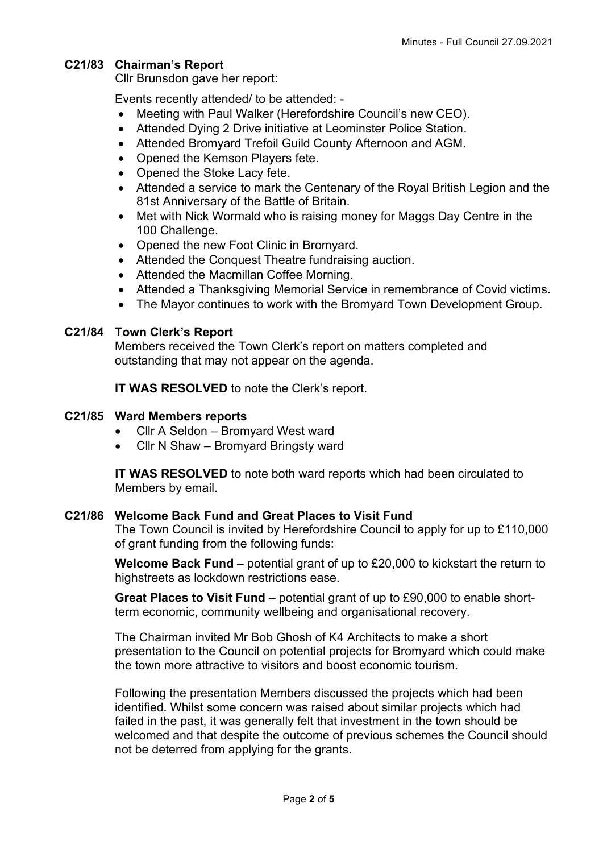# **C21/83 Chairman's Report**

Cllr Brunsdon gave her report:

Events recently attended/ to be attended: -

- Meeting with Paul Walker (Herefordshire Council's new CEO).
- Attended Dying 2 Drive initiative at Leominster Police Station.
- Attended Bromyard Trefoil Guild County Afternoon and AGM.
- Opened the Kemson Players fete.
- Opened the Stoke Lacy fete.
- Attended a service to mark the Centenary of the Royal British Legion and the 81st Anniversary of the Battle of Britain.
- Met with Nick Wormald who is raising money for Maggs Day Centre in the 100 Challenge.
- Opened the new Foot Clinic in Bromyard.
- Attended the Conquest Theatre fundraising auction.
- Attended the Macmillan Coffee Morning.
- Attended a Thanksgiving Memorial Service in remembrance of Covid victims.
- The Mayor continues to work with the Bromyard Town Development Group.

# **C21/84 Town Clerk's Report**

Members received the Town Clerk's report on matters completed and outstanding that may not appear on the agenda.

**IT WAS RESOLVED** to note the Clerk's report.

#### **C21/85 Ward Members reports**

- Cllr A Seldon Bromyard West ward
- Cllr N Shaw Bromyard Bringsty ward

**IT WAS RESOLVED** to note both ward reports which had been circulated to Members by email.

#### **C21/86 Welcome Back Fund and Great Places to Visit Fund**

The Town Council is invited by Herefordshire Council to apply for up to £110,000 of grant funding from the following funds:

**Welcome Back Fund** – potential grant of up to £20,000 to kickstart the return to highstreets as lockdown restrictions ease.

**Great Places to Visit Fund** – potential grant of up to £90,000 to enable shortterm economic, community wellbeing and organisational recovery.

The Chairman invited Mr Bob Ghosh of K4 Architects to make a short presentation to the Council on potential projects for Bromyard which could make the town more attractive to visitors and boost economic tourism.

Following the presentation Members discussed the projects which had been identified. Whilst some concern was raised about similar projects which had failed in the past, it was generally felt that investment in the town should be welcomed and that despite the outcome of previous schemes the Council should not be deterred from applying for the grants.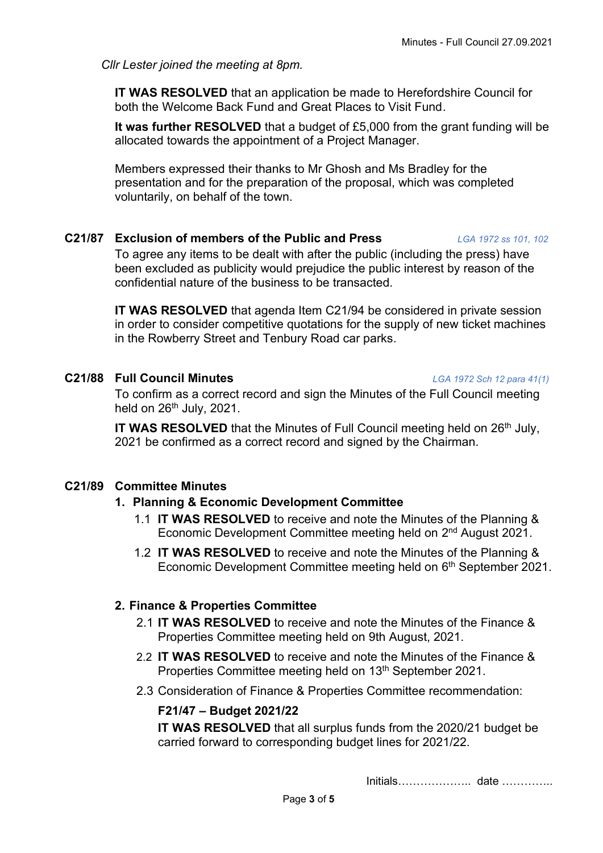*Cllr Lester joined the meeting at 8pm.*

**IT WAS RESOLVED** that an application be made to Herefordshire Council for both the Welcome Back Fund and Great Places to Visit Fund.

**It was further RESOLVED** that a budget of £5,000 from the grant funding will be allocated towards the appointment of a Project Manager.

Members expressed their thanks to Mr Ghosh and Ms Bradley for the presentation and for the preparation of the proposal, which was completed voluntarily, on behalf of the town.

# **C21/87 Exclusion of members of the Public and Press** *LGA 1972 ss 101, 102*

To agree any items to be dealt with after the public (including the press) have been excluded as publicity would prejudice the public interest by reason of the confidential nature of the business to be transacted.

**IT WAS RESOLVED** that agenda Item C21/94 be considered in private session in order to consider competitive quotations for the supply of new ticket machines in the Rowberry Street and Tenbury Road car parks.

# **C21/88 Full Council Minutes** *LGA 1972 Sch 12 para 41(1)*

To confirm as a correct record and sign the Minutes of the Full Council meeting held on  $26<sup>th</sup>$  July, 2021.

**IT WAS RESOLVED** that the Minutes of Full Council meeting held on 26<sup>th</sup> July, 2021 be confirmed as a correct record and signed by the Chairman.

# **C21/89 Committee Minutes**

#### **1. Planning & Economic Development Committee**

- 1.1 **IT WAS RESOLVED** to receive and note the Minutes of the Planning & Economic Development Committee meeting held on 2<sup>nd</sup> August 2021.
- 1.2 **IT WAS RESOLVED** to receive and note the Minutes of the Planning & Economic Development Committee meeting held on 6<sup>th</sup> September 2021.

# **2. Finance & Properties Committee**

- 2.1 **IT WAS RESOLVED** to receive and note the Minutes of the Finance & Properties Committee meeting held on 9th August, 2021.
- 2.2 **IT WAS RESOLVED** to receive and note the Minutes of the Finance & Properties Committee meeting held on 13<sup>th</sup> September 2021.
- 2.3 Consideration of Finance & Properties Committee recommendation:

#### **F21/47 – Budget 2021/22**

**IT WAS RESOLVED** that all surplus funds from the 2020/21 budget be carried forward to corresponding budget lines for 2021/22.

Initials……………….. date …………..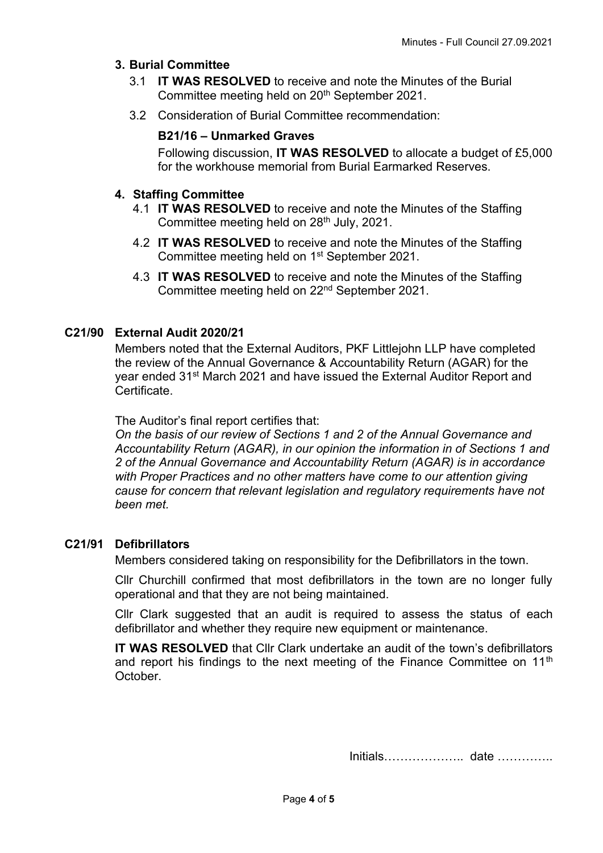### **3. Burial Committee**

- 3.1 **IT WAS RESOLVED** to receive and note the Minutes of the Burial Committee meeting held on 20<sup>th</sup> September 2021.
- 3.2 Consideration of Burial Committee recommendation:

# **B21/16 – Unmarked Graves**

Following discussion, **IT WAS RESOLVED** to allocate a budget of £5,000 for the workhouse memorial from Burial Earmarked Reserves.

# **4. Staffing Committee**

- 4.1 **IT WAS RESOLVED** to receive and note the Minutes of the Staffing Committee meeting held on 28<sup>th</sup> July, 2021.
- 4.2 **IT WAS RESOLVED** to receive and note the Minutes of the Staffing Committee meeting held on 1<sup>st</sup> September 2021.
- 4.3 **IT WAS RESOLVED** to receive and note the Minutes of the Staffing Committee meeting held on 22nd September 2021.

# **C21/90 External Audit 2020/21**

Members noted that the External Auditors, PKF Littlejohn LLP have completed the review of the Annual Governance & Accountability Return (AGAR) for the year ended 31<sup>st</sup> March 2021 and have issued the External Auditor Report and Certificate.

The Auditor's final report certifies that:

*On the basis of our review of Sections 1 and 2 of the Annual Governance and Accountability Return (AGAR), in our opinion the information in of Sections 1 and 2 of the Annual Governance and Accountability Return (AGAR) is in accordance with Proper Practices and no other matters have come to our attention giving cause for concern that relevant legislation and regulatory requirements have not been met.*

#### **C21/91 Defibrillators**

Members considered taking on responsibility for the Defibrillators in the town.

Cllr Churchill confirmed that most defibrillators in the town are no longer fully operational and that they are not being maintained.

Cllr Clark suggested that an audit is required to assess the status of each defibrillator and whether they require new equipment or maintenance.

**IT WAS RESOLVED** that Cllr Clark undertake an audit of the town's defibrillators and report his findings to the next meeting of the Finance Committee on 11<sup>th</sup> October.

Initials……………….. date …………..